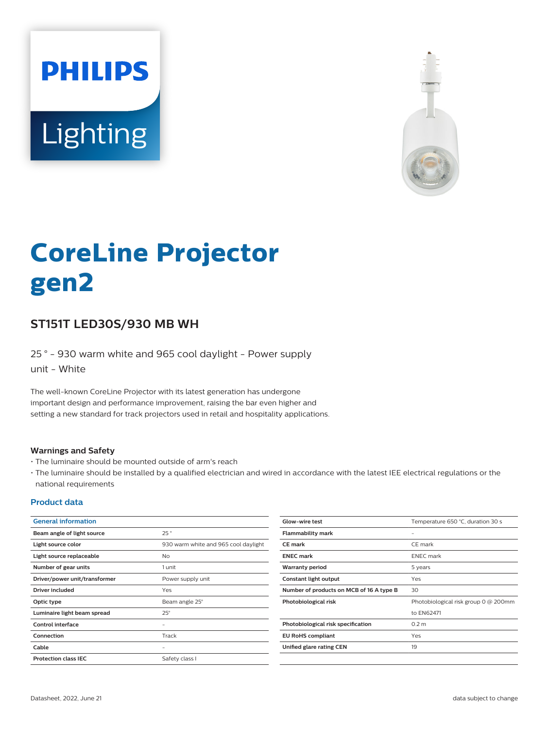



# **CoreLine Projector gen2**

## **ST151T LED30S/930 MB WH**

25 ° - 930 warm white and 965 cool daylight - Power supply unit - White

The well-known CoreLine Projector with its latest generation has undergone important design and performance improvement, raising the bar even higher and setting a new standard for track projectors used in retail and hospitality applications.

#### **Warnings and Safety**

- The luminaire should be mounted outside of arm's reach
- The luminaire should be installed by a qualified electrician and wired in accordance with the latest IEE electrical regulations or the national requirements

### **Product data**

| <b>General information</b>    |                                      | Glow-wire test                           | Temperature 650 °C, duration 30 s    |
|-------------------------------|--------------------------------------|------------------------------------------|--------------------------------------|
| Beam angle of light source    | 25°                                  | <b>Flammability mark</b>                 | $\overline{\phantom{a}}$             |
| Light source color            | 930 warm white and 965 cool daylight | <b>CE</b> mark                           | CE mark                              |
| Light source replaceable      | <b>No</b>                            | <b>ENEC mark</b>                         | <b>ENEC</b> mark                     |
| Number of gear units          | 1 unit                               | <b>Warranty period</b>                   | 5 years                              |
| Driver/power unit/transformer | Power supply unit                    | Constant light output                    | Yes                                  |
| <b>Driver included</b>        | Yes                                  | Number of products on MCB of 16 A type B | 30                                   |
| Optic type                    | Beam angle 25°                       | Photobiological risk                     | Photobiological risk group 0 @ 200mm |
| Luminaire light beam spread   | $25^\circ$                           |                                          | to EN62471                           |
| <b>Control interface</b>      | ۰                                    | Photobiological risk specification       | 0.2 <sub>m</sub>                     |
| Connection                    | Track                                | <b>EU RoHS compliant</b>                 | Yes                                  |
| Cable                         | $\overline{\phantom{a}}$             | Unified glare rating CEN                 | 19                                   |
| <b>Protection class IEC</b>   | Safety class I                       |                                          |                                      |
|                               |                                      |                                          |                                      |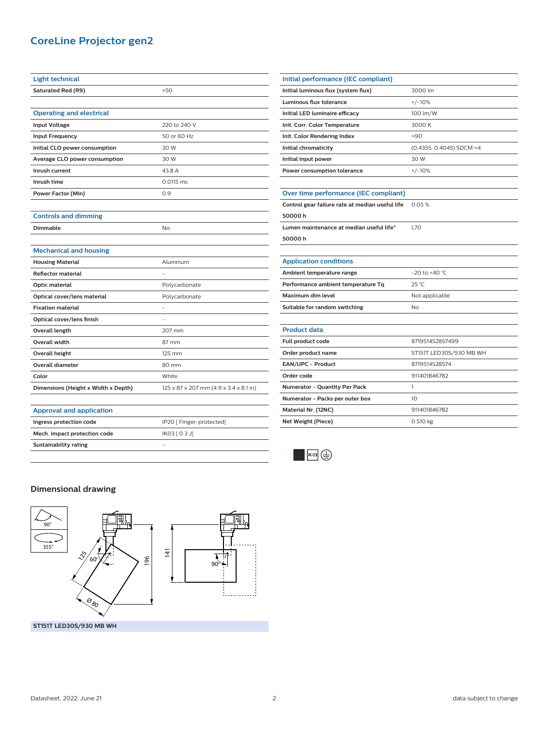## **CoreLine Projector gen2**

| <b>Light technical</b>              |                                        |  |
|-------------------------------------|----------------------------------------|--|
| <b>Saturated Red (R9)</b>           | >50                                    |  |
|                                     |                                        |  |
| <b>Operating and electrical</b>     |                                        |  |
| <b>Input Voltage</b>                | 220 to 240 V                           |  |
| <b>Input Frequency</b>              | 50 or 60 Hz                            |  |
| Initial CLO power consumption       | 30 W                                   |  |
| Average CLO power consumption       | 30 W                                   |  |
| Inrush current                      | 43.8 A                                 |  |
| Inrush time                         | 0.0115 ms                              |  |
| <b>Power Factor (Min)</b>           | 0.9                                    |  |
|                                     |                                        |  |
| <b>Controls and dimming</b>         |                                        |  |
| Dimmable                            | <b>No</b>                              |  |
|                                     |                                        |  |
| <b>Mechanical and housing</b>       |                                        |  |
| <b>Housing Material</b>             | Aluminum                               |  |
| <b>Reflector material</b>           |                                        |  |
| <b>Optic material</b>               | Polycarbonate                          |  |
| Optical cover/lens material         | Polycarbonate                          |  |
| <b>Fixation material</b>            |                                        |  |
| Optical cover/lens finish           |                                        |  |
| Overall length                      | 207 mm                                 |  |
| <b>Overall width</b>                | 87 mm                                  |  |
| <b>Overall height</b>               | 125 mm                                 |  |
| <b>Overall diameter</b>             | 80 mm                                  |  |
| Color                               | White                                  |  |
| Dimensions (Height x Width x Depth) | 125 x 87 x 207 mm (4.9 x 3.4 x 8.1 in) |  |
|                                     |                                        |  |
| <b>Approval and application</b>     |                                        |  |
| Ingress protection code             | IP20 [ Finger-protected]               |  |
| Mech. impact protection code        | IK03 [ 0.3 J]                          |  |

| Initial performance (IEC compliant)             |                          |
|-------------------------------------------------|--------------------------|
| Initial luminous flux (system flux)             | 3000 lm                  |
| <b>Luminous flux tolerance</b>                  | $+/-10%$                 |
| Initial LED luminaire efficacy                  | 100 lm/W                 |
| Init. Corr. Color Temperature                   | 3000 K                   |
| Init. Color Rendering Index                     | >90                      |
| Initial chromaticity                            | (0.4355, 0.4045) SDCM <4 |
| Initial input power                             | 30 W                     |
| Power consumption tolerance                     | $+/-10%$                 |
|                                                 |                          |
| Over time performance (IEC compliant)           |                          |
| Control gear failure rate at median useful life | 0.05%                    |
| 50000h                                          |                          |
| Lumen maintenance at median useful life*        | <b>L70</b>               |
| 50000h                                          |                          |
|                                                 |                          |
| <b>Application conditions</b>                   |                          |
| Ambient temperature range                       | $-20$ to $+40$ °C        |
| Performance ambient temperature Tq              | 25 °C                    |
| Maximum dim level                               | Not applicable           |
| Suitable for random switching                   | No                       |
|                                                 |                          |
| <b>Product data</b>                             |                          |
| Full product code                               | 871951452857499          |
| Order product name                              | ST151T LED30S/930 MB WH  |
| EAN/UPC - Product                               | 8719514528574            |
| Order code                                      | 911401846782             |
| <b>Numerator - Quantity Per Pack</b>            | 1                        |
| Numerator - Packs per outer box                 | 10                       |
| Material Nr. (12NC)                             | 911401846782             |
| Net Weight (Piece)                              | 0.510 kg                 |
|                                                 |                          |



## **Dimensional drawing**

**Sustainability rating** -